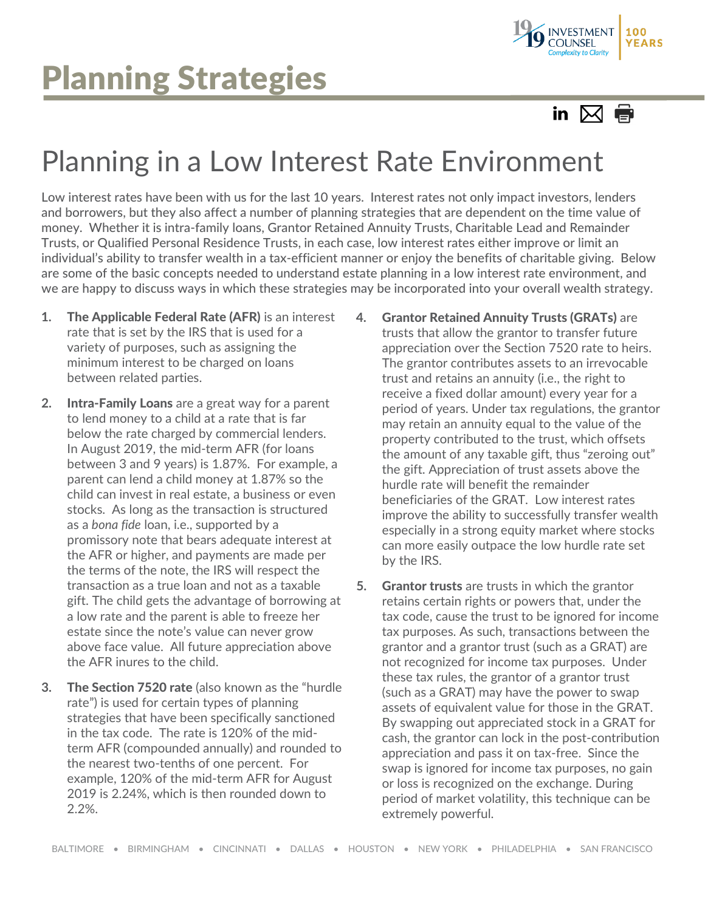



## Planning in a Low Interest Rate Environment

Low interest rates have been with us for the last 10 years. Interest rates not only impact investors, lenders and borrowers, but they also affect a number of planning strategies that are dependent on the time value of money. Whether it is intra-family loans, Grantor Retained Annuity Trusts, Charitable Lead and Remainder Trusts, or Qualified Personal Residence Trusts, in each case, low interest rates either improve or limit an individual's ability to transfer wealth in a tax-efficient manner or enjoy the benefits of charitable giving. Below are some of the basic concepts needed to understand estate planning in a low interest rate environment, and we are happy to discuss ways in which these strategies may be incorporated into your overall wealth strategy.

- **1.** The Applicable Federal Rate (AFR) is an interest rate that is set by the IRS that is used for a variety of purposes, such as assigning the minimum interest to be charged on loans between related parties.
- **2.** Intra-Family Loans are a great way for a parent to lend money to a child at a rate that is far below the rate charged by commercial lenders. In August 2019, the mid-term AFR (for loans between 3 and 9 years) is 1.87%. For example, a parent can lend a child money at 1.87% so the child can invest in real estate, a business or even stocks. As long as the transaction is structured as a *bona fide* loan, i.e., supported by a promissory note that bears adequate interest at the AFR or higher, and payments are made per the terms of the note, the IRS will respect the transaction as a true loan and not as a taxable gift. The child gets the advantage of borrowing at a low rate and the parent is able to freeze her estate since the note's value can never grow above face value. All future appreciation above the AFR inures to the child.
- **3.** The Section 7520 rate (also known as the "hurdle rate") is used for certain types of planning strategies that have been specifically sanctioned in the tax code. The rate is 120% of the midterm AFR (compounded annually) and rounded to the nearest two-tenths of one percent. For example, 120% of the mid-term AFR for August 2019 is 2.24%, which is then rounded down to 2.2%.
- **4.** Grantor Retained Annuity Trusts (GRATs) are trusts that allow the grantor to transfer future appreciation over the Section 7520 rate to heirs. The grantor contributes assets to an irrevocable trust and retains an annuity (i.e., the right to receive a fixed dollar amount) every year for a period of years. Under tax regulations, the grantor may retain an annuity equal to the value of the property contributed to the trust, which offsets the amount of any taxable gift, thus "zeroing out" the gift. Appreciation of trust assets above the hurdle rate will benefit the remainder beneficiaries of the GRAT. Low interest rates improve the ability to successfully transfer wealth especially in a strong equity market where stocks can more easily outpace the low hurdle rate set by the IRS.
- **5.** Grantor trusts are trusts in which the grantor retains certain rights or powers that, under the tax code, cause the trust to be ignored for income tax purposes. As such, transactions between the grantor and a grantor trust (such as a GRAT) are not recognized for income tax purposes. Under these tax rules, the grantor of a grantor trust (such as a GRAT) may have the power to swap assets of equivalent value for those in the GRAT. By swapping out appreciated stock in a GRAT for cash, the grantor can lock in the post-contribution appreciation and pass it on tax-free. Since the swap is ignored for income tax purposes, no gain or loss is recognized on the exchange. During period of market volatility, this technique can be extremely powerful.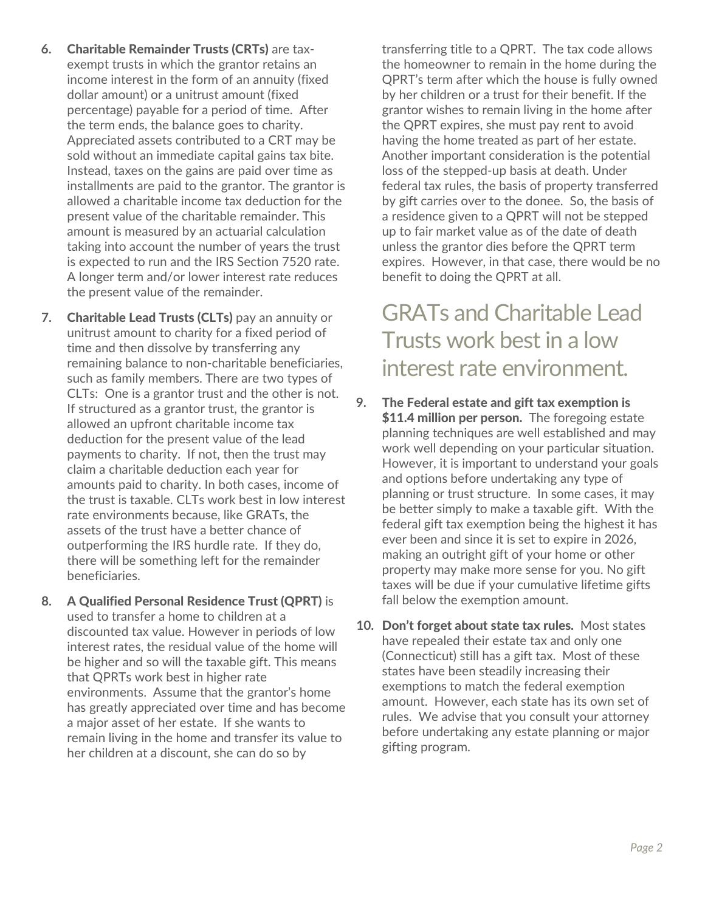- **6.** Charitable Remainder Trusts (CRTs) are taxexempt trusts in which the grantor retains an income interest in the form of an annuity (fixed dollar amount) or a unitrust amount (fixed percentage) payable for a period of time. After the term ends, the balance goes to charity. Appreciated assets contributed to a CRT may be sold without an immediate capital gains tax bite. Instead, taxes on the gains are paid over time as installments are paid to the grantor. The grantor is allowed a charitable income tax deduction for the present value of the charitable remainder. This amount is measured by an actuarial calculation taking into account the number of years the trust is expected to run and the IRS Section 7520 rate. A longer term and/or lower interest rate reduces the present value of the remainder.
- **7.** Charitable Lead Trusts (CLTs) pay an annuity or unitrust amount to charity for a fixed period of time and then dissolve by transferring any remaining balance to non-charitable beneficiaries, such as family members. There are two types of CLTs: One is a grantor trust and the other is not. If structured as a grantor trust, the grantor is allowed an upfront charitable income tax deduction for the present value of the lead payments to charity. If not, then the trust may claim a charitable deduction each year for amounts paid to charity. In both cases, income of the trust is taxable. CLTs work best in low interest rate environments because, like GRATs, the assets of the trust have a better chance of outperforming the IRS hurdle rate. If they do, there will be something left for the remainder beneficiaries.
- **8.** A Qualified Personal Residence Trust (QPRT) is used to transfer a home to children at a discounted tax value. However in periods of low interest rates, the residual value of the home will be higher and so will the taxable gift. This means that QPRTs work best in higher rate environments. Assume that the grantor's home has greatly appreciated over time and has become a major asset of her estate. If she wants to remain living in the home and transfer its value to her children at a discount, she can do so by

transferring title to a QPRT. The tax code allows the homeowner to remain in the home during the QPRT's term after which the house is fully owned by her children or a trust for their benefit. If the grantor wishes to remain living in the home after the QPRT expires, she must pay rent to avoid having the home treated as part of her estate. Another important consideration is the potential loss of the stepped-up basis at death. Under federal tax rules, the basis of property transferred by gift carries over to the donee. So, the basis of a residence given to a QPRT will not be stepped up to fair market value as of the date of death unless the grantor dies before the QPRT term expires. However, in that case, there would be no benefit to doing the QPRT at all.

GRATs and Charitable Lead Trusts work best in a low interest rate environment.

- **9.** The Federal estate and gift tax exemption is \$11.4 million per person. The foregoing estate planning techniques are well established and may work well depending on your particular situation. However, it is important to understand your goals and options before undertaking any type of planning or trust structure. In some cases, it may be better simply to make a taxable gift. With the federal gift tax exemption being the highest it has ever been and since it is set to expire in 2026, making an outright gift of your home or other property may make more sense for you. No gift taxes will be due if your cumulative lifetime gifts fall below the exemption amount.
- **10.** Don't forget about state tax rules. Most states have repealed their estate tax and only one (Connecticut) still has a gift tax. Most of these states have been steadily increasing their exemptions to match the federal exemption amount. However, each state has its own set of rules. We advise that you consult your attorney before undertaking any estate planning or major gifting program.